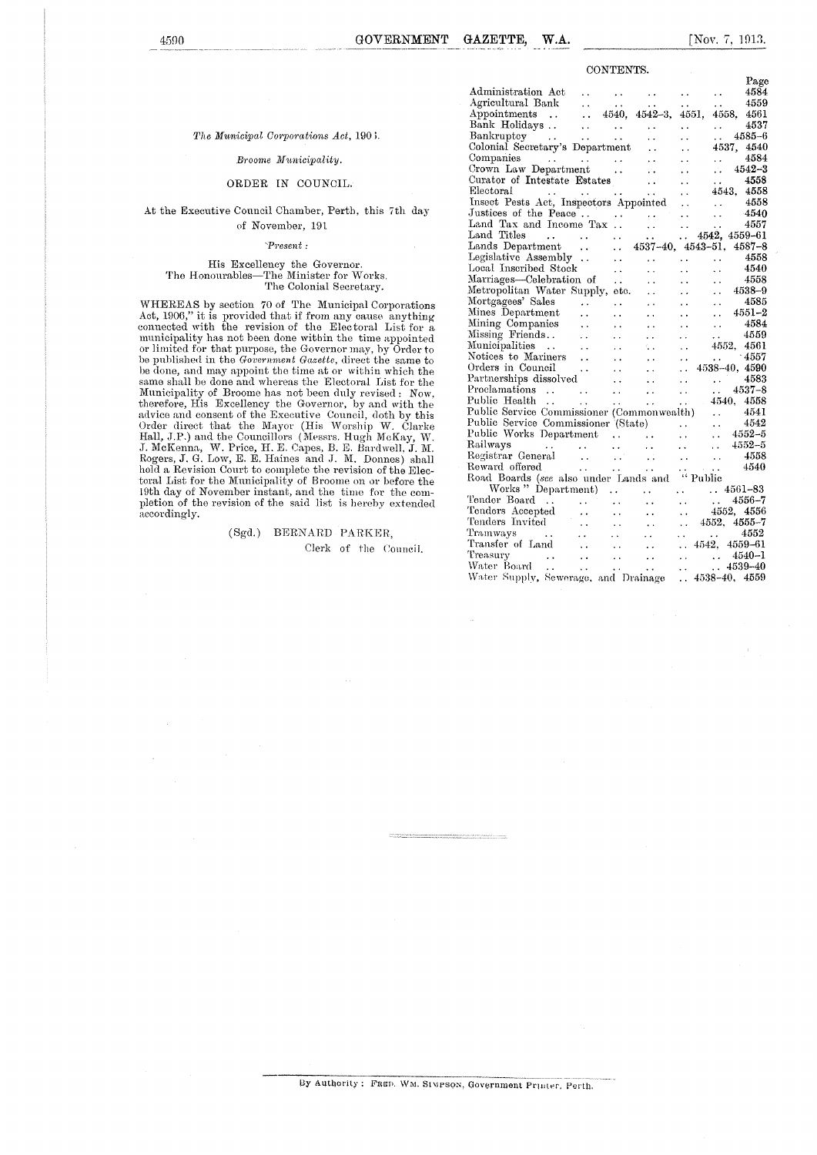#### CONTENTS.

#### *The Municipal Corporations Act,* 190;.

#### *Broome Municipality.*

#### ORDER IN COUNCIL.

#### At the Executive Council Chamber, Perth, this 7th day of November, 191

#### *-Present :*

### His Excellency the Governor. The Honourables—The Minister for Works. The Colonial Secretary.

WHEREAS by section 70 of The Municipal Corporations Act, 1906," it is provided that if from any cause anything connected with the revision of the Electoral List for a municipality has not been done within the time appointed or limited for that purpose, the Governor may, by Order to<br>be published in the Government Gazette, direct the same to<br>be done, and may appoint the time at or within which the<br>same shall be done and whereas the Electoral Li Municipality of Broome has not been duly revised : Now,<br>therefore, His Excellency the Governor, by and with the<br>advice and consent of the Executive Council, doth by this<br>Order direct that the Mayor (His Worship W. Clarke<br>H hold a Revision Court to complete the revision of the Electoral List for the Municipality of Broome on or before the 19th day of November instant, and the time for the com-pletion of the revision of the said list is hereby extended accordingly.

> (Sgd,) BERNARD PARKER, Clerk of the Council.

|                                                                                                                                                                                                         |                         |                        |                                                   |                                                                                                                     |                                                                                                     | Page         |
|---------------------------------------------------------------------------------------------------------------------------------------------------------------------------------------------------------|-------------------------|------------------------|---------------------------------------------------|---------------------------------------------------------------------------------------------------------------------|-----------------------------------------------------------------------------------------------------|--------------|
| Administration Act                                                                                                                                                                                      |                         |                        |                                                   | $\mathbf{r}$ , $\mathbf{r}$ , $\mathbf{r}$                                                                          | $\ddot{\phantom{a}}$                                                                                | 4584         |
|                                                                                                                                                                                                         |                         |                        |                                                   | $\mathbf{r}$ , $\mathbf{r}$                                                                                         | $\sim$                                                                                              | 4559         |
|                                                                                                                                                                                                         |                         |                        |                                                   | 4551,                                                                                                               | 4558, 4561                                                                                          |              |
|                                                                                                                                                                                                         |                         |                        |                                                   | $\mathcal{L}(\mathcal{L})$ .                                                                                        | $\ddotsc$                                                                                           | 4537         |
| $\begin{array}{ccc}\n\text{ys} & \cdots & \cdots & \cdots \\ \vdots & \vdots & \ddots & \vdots \\ \end{array}$<br>Bankruptcy                                                                            |                         |                        | $\ddot{\phantom{0}}$                              | . .                                                                                                                 | in 1                                                                                                | $4585 - 6$   |
| Colonial Secretary's Department                                                                                                                                                                         |                         |                        | $\ddot{\phantom{a}}$                              | $\ddot{\phantom{0}}$                                                                                                | 4537, 4540                                                                                          |              |
|                                                                                                                                                                                                         |                         |                        | $\ddot{\phantom{a}}$                              | $\ddot{\phantom{0}}$                                                                                                | $\mathcal{L}(\mathcal{L})$ and $\mathcal{L}(\mathcal{L})$                                           | 4584         |
|                                                                                                                                                                                                         |                         |                        | $\sim 100$                                        | $\sim 10^{-11}$                                                                                                     |                                                                                                     | $. 4542 - 3$ |
| Curator of Intestate Estates                                                                                                                                                                            |                         |                        | $\ddot{\phantom{a}}$                              | $\ddotsc$                                                                                                           | $\ldots$ 4558                                                                                       |              |
|                                                                                                                                                                                                         |                         |                        |                                                   | in<br>11 Mei 11 Mei 12 Mei 12 Mei 12 Mei 12 Mei 12 Mei 12 Mei 12 Mei 12 Mei 12 Mei 12 Mei 12 Mei 12 Mei 12 Mei 12 M | 4543, 4558                                                                                          |              |
| Electoral<br>Insect Pests Act, Inspectors Appointed                                                                                                                                                     |                         |                        |                                                   | $\ddotsc$                                                                                                           |                                                                                                     | 4558         |
|                                                                                                                                                                                                         |                         |                        |                                                   |                                                                                                                     | $\begin{array}{cc} & 4558 \ & 4540 \end{array}$                                                     |              |
|                                                                                                                                                                                                         |                         |                        |                                                   |                                                                                                                     |                                                                                                     |              |
| Land Titles<br>$\mathcal{L}^{\text{max}}(\mathbf{r},\mathbf{r})$ , where $\mathcal{L}^{\text{max}}(\mathbf{r},\mathbf{r})$                                                                              |                         |                        | $\mathbf{L}(\mathbf{r})$ .                        |                                                                                                                     | $\begin{array}{ccc} \cdots & \cdots & \cdots & 4557 \\ \cdots & \cdots & 4542, 4559-61 \end{array}$ |              |
| Lands Department                                                                                                                                                                                        |                         | $\therefore$ 45        | $4537 - 40, 4543 - 51,$                           |                                                                                                                     |                                                                                                     | $4587 - 8$   |
| Legislative Assembly                                                                                                                                                                                    |                         | $\ddot{\phantom{a}}$   | $\ddot{\phantom{0}}$                              |                                                                                                                     |                                                                                                     | - 4558       |
| Local Inscribed Stock                                                                                                                                                                                   |                         | $\ddot{\phantom{a}}$   | $\ddot{\phantom{a}}$                              | $\alpha_{\rm{eff}}=0.05$<br>$\ddot{\phantom{a}}$                                                                    | $\ddot{\phantom{0}}$                                                                                | - 4540       |
| Marriages—Celebration of                                                                                                                                                                                |                         | $\ddot{\phantom{0}}$   | $\sim$                                            | $\ddot{\phantom{a}}$                                                                                                |                                                                                                     | -4558        |
| Metropolitan Water Supply, etc.                                                                                                                                                                         |                         |                        | $\sim$                                            | $\ddot{\phantom{0}}$                                                                                                | $\frac{1}{2}$                                                                                       | 4538-9       |
| Mortgagees' Sales                                                                                                                                                                                       |                         |                        |                                                   |                                                                                                                     |                                                                                                     | 4585         |
| Mines Department                                                                                                                                                                                        | $\sim 10$               | $\ddot{\phantom{a}}$   | $\ddot{\phantom{a}}$                              | $\ddot{\phantom{0}}$                                                                                                | $\begin{array}{r} 1.685 \\ -4551-2 \end{array}$                                                     |              |
|                                                                                                                                                                                                         | $\sim$<br>$\sim 10$     | $\ddot{\phantom{a}}$   | $\sim$ $\sim$                                     | $\ddot{\phantom{a}}$                                                                                                |                                                                                                     | 4584         |
| Mining Companies                                                                                                                                                                                        |                         | $\ddot{\phantom{1}}$ . | $\ddot{\phantom{a}}$ .                            | $\sim 10^{-1}$                                                                                                      | $\sim 10^{-1}$                                                                                      | 4559         |
|                                                                                                                                                                                                         |                         | $\ddotsc$              | $\ddotsc$                                         | $\begin{array}{cc} \dots & \dots \\ \dots & 4552 \end{array}$                                                       |                                                                                                     |              |
|                                                                                                                                                                                                         |                         | $\ddot{\phantom{a}}$   | $\sim$                                            | $\mathbf{r}$ .                                                                                                      | 4552, 4561                                                                                          |              |
| Notices to Mariners                                                                                                                                                                                     |                         | $\ddot{\phantom{a}}$   | $\ddot{\phantom{a}}$                              | $\mathbf{1}$ , $\mathbf{1}$                                                                                         | $\ldots$ 4557                                                                                       |              |
| Orders in Council                                                                                                                                                                                       | $\sim 100$ km s $^{-1}$ | $\ddot{\phantom{a}}$   | $\ddot{\phantom{0}}$                              |                                                                                                                     | $\ldots$ 4538-40, 4590                                                                              |              |
| Partnerships dissolved                                                                                                                                                                                  |                         | $\sim 10^{-1}$         | $\mathcal{L}(\mathcal{L})$                        |                                                                                                                     | $\ldots$ . 4583                                                                                     |              |
| Proclamations<br>Public Health                                                                                                                                                                          |                         |                        | $\frac{1}{2} \frac{1}{2} \frac{1}{2} \frac{1}{2}$ | $\mathbf{r}$ .                                                                                                      | $\ldots$ 4537-8                                                                                     |              |
|                                                                                                                                                                                                         | <b>Sales Contract</b>   |                        |                                                   |                                                                                                                     | $\frac{4540}{1000}$ , $\frac{4540}{1000}$                                                           |              |
| Public Service Commissioner (Commonwealth)  4541<br>Public Service Commissioner (State)  4542<br>Public Works Department    4552–5<br>Railways     4552–5<br>Registrar General     4552–5<br>4558       |                         |                        |                                                   |                                                                                                                     |                                                                                                     |              |
|                                                                                                                                                                                                         |                         |                        |                                                   |                                                                                                                     |                                                                                                     |              |
|                                                                                                                                                                                                         |                         |                        |                                                   |                                                                                                                     |                                                                                                     |              |
| Railways<br>Registrar General<br>Reward offered<br>New York (1999)                                                                                                                                      |                         |                        |                                                   |                                                                                                                     |                                                                                                     |              |
|                                                                                                                                                                                                         |                         |                        |                                                   |                                                                                                                     |                                                                                                     |              |
|                                                                                                                                                                                                         |                         |                        |                                                   |                                                                                                                     | $\cdots$ $4540$                                                                                     |              |
| Road Boards (see also under Lands and "Public                                                                                                                                                           |                         |                        |                                                   |                                                                                                                     |                                                                                                     |              |
| Works "Department)                                                                                                                                                                                      |                         |                        |                                                   |                                                                                                                     | $\ldots$ $\ldots$ 4561-83                                                                           |              |
|                                                                                                                                                                                                         |                         |                        | $\mathcal{L}_{\mathcal{A}}$ .                     | $\sim 10^{-1}$                                                                                                      | $\begin{array}{ccc}\n & . & . & .4556-7 \\  & . & .4552, & 4556\n\end{array}$                       |              |
|                                                                                                                                                                                                         |                         |                        | $\ddot{\phantom{a}}$ .                            |                                                                                                                     |                                                                                                     |              |
|                                                                                                                                                                                                         |                         |                        | $\ddot{\phantom{a}}$                              |                                                                                                                     | $\ldots$ 4552, 4555-7                                                                               |              |
|                                                                                                                                                                                                         |                         |                        | $\ddotsc$                                         | $\ddotsc$                                                                                                           | $\ldots$ 4552                                                                                       |              |
| Tender Board<br>Tenders Accepted<br>Tenders Invited<br>Tramways<br>Tramways<br>Tramsfer of Land<br>The Cond<br>The Cond<br>Tramsfer of Land<br>Tramsfer of Land<br>Tramsfer of Land<br>Tramsfer of Land |                         |                        | $\ddot{\phantom{a}}$                              |                                                                                                                     | $\ldots$ 4542, 4559-61                                                                              |              |
|                                                                                                                                                                                                         |                         |                        |                                                   | $\mathcal{L}(\mathbf{x})$                                                                                           | $\ldots$ 4540-1                                                                                     |              |
|                                                                                                                                                                                                         |                         |                        |                                                   |                                                                                                                     | $\frac{1}{4539-40}$                                                                                 |              |
|                                                                                                                                                                                                         |                         |                        |                                                   | $\ddotsc$                                                                                                           | $\ldots$ 4538-40, 4559                                                                              |              |
|                                                                                                                                                                                                         |                         |                        |                                                   |                                                                                                                     |                                                                                                     |              |

By Authority : FRED. WM. SIMPSON, Government Primter, Perth.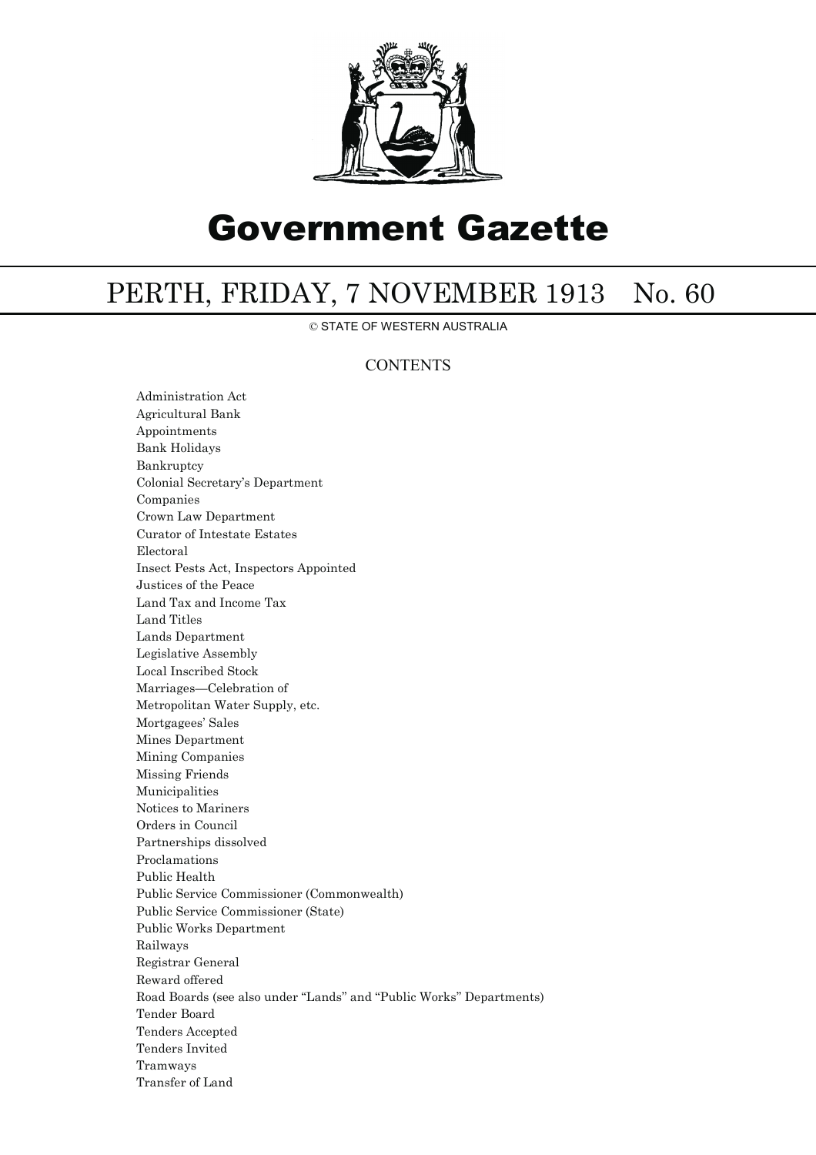

# Government Gazette

## PERTH, FRIDAY, 7 NOVEMBER 1913 No. 60

© STATE OF WESTERN AUSTRALIA

## **CONTENTS**

Administration Act Agricultural Bank Appointments Bank Holidays Bankruptcy Colonial Secretary's Department Companies Crown Law Department Curator of Intestate Estates Electoral Insect Pests Act, Inspectors Appointed Justices of the Peace Land Tax and Income Tax Land Titles Lands Department Legislative Assembly Local Inscribed Stock Marriages—Celebration of Metropolitan Water Supply, etc. Mortgagees' Sales Mines Department Mining Companies Missing Friends Municipalities Notices to Mariners Orders in Council Partnerships dissolved Proclamations Public Health Public Service Commissioner (Commonwealth) Public Service Commissioner (State) Public Works Department Railways Registrar General Reward offered Road Boards (see also under ''Lands'' and ''Public Works'' Departments) Tender Board Tenders Accepted Tenders Invited Tramways Transfer of Land